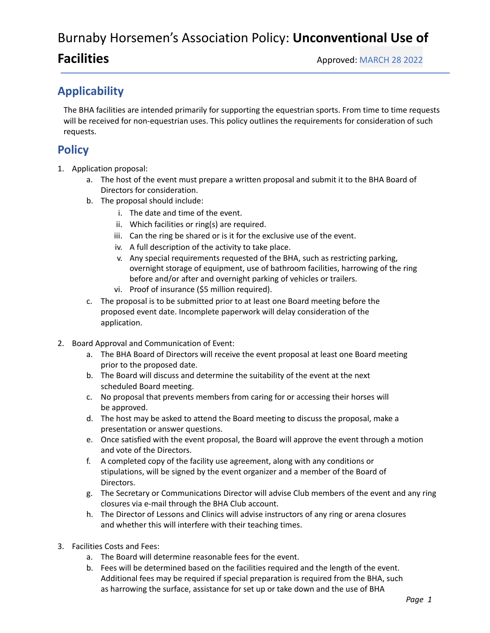## Burnaby Horsemen's Association Policy: **Unconventional Use of**

## **Applicability**

The BHA facilities are intended primarily for supporting the equestrian sports. From time to time requests will be received for non-equestrian uses. This policy outlines the requirements for consideration of such requests.

## **Policy**

- 1. Application proposal:
	- a. The host of the event must prepare a written proposal and submit it to the BHA Board of Directors for consideration.
	- b. The proposal should include:
		- i. The date and time of the event.
		- ii. Which facilities or ring(s) are required.
		- iii. Can the ring be shared or is it for the exclusive use of the event.
		- iv. A full description of the activity to take place.
		- v. Any special requirements requested of the BHA, such as restricting parking, overnight storage of equipment, use of bathroom facilities, harrowing of the ring before and/or after and overnight parking of vehicles or trailers.
		- vi. Proof of insurance (\$5 million required).
	- c. The proposal is to be submitted prior to at least one Board meeting before the proposed event date. Incomplete paperwork will delay consideration of the application.
- 2. Board Approval and Communication of Event:
	- a. The BHA Board of Directors will receive the event proposal at least one Board meeting prior to the proposed date.
	- b. The Board will discuss and determine the suitability of the event at the next scheduled Board meeting.
	- c. No proposal that prevents members from caring for or accessing their horses will be approved.
	- d. The host may be asked to attend the Board meeting to discuss the proposal, make a presentation or answer questions.
	- e. Once satisfied with the event proposal, the Board will approve the event through a motion and vote of the Directors.
	- f. A completed copy of the facility use agreement, along with any conditions or stipulations, will be signed by the event organizer and a member of the Board of Directors.
	- g. The Secretary or Communications Director will advise Club members of the event and any ring closures via e-mail through the BHA Club account.
	- h. The Director of Lessons and Clinics will advise instructors of any ring or arena closures and whether this will interfere with their teaching times.
- 3. Facilities Costs and Fees:
	- a. The Board will determine reasonable fees for the event.
	- b. Fees will be determined based on the facilities required and the length of the event. Additional fees may be required if special preparation is required from the BHA, such as harrowing the surface, assistance for set up or take down and the use of BHA